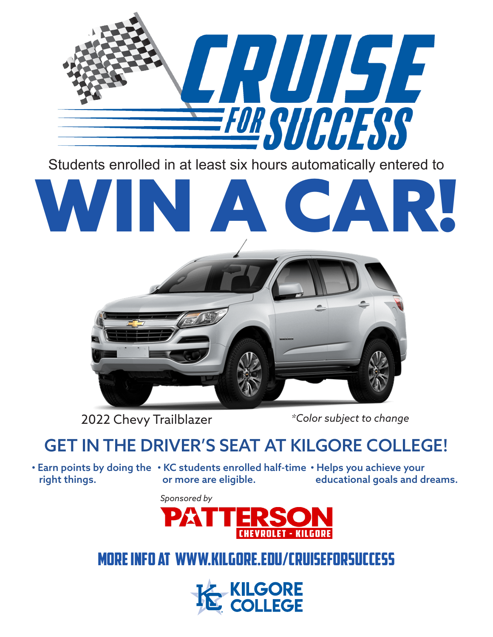

Students enrolled in at least six hours automatically entered to

# WIN A CAR!



2022 Chevy Trailblazer *\*Color subject to change*

## GET IN THE DRIVER'S SEAT AT KILGORE COLLEGE!

right things.

 $\boldsymbol{\cdot}$  Earn points by doing the  $\boldsymbol{\cdot}$  KC students enrolled half-time  $\boldsymbol{\cdot}$  Helps you achieve your or more are eligible. educational goals and dreams.

*Sponsored by*



### MORE INFO AT WWW.KILGORE.EDU/CRUISEFORSUCCESS